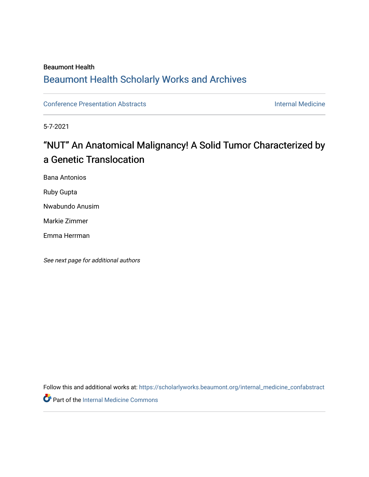#### **Beaumont Health**

## **Beaumont Health Scholarly Works and Archives**

**Conference Presentation Abstracts** 

**Internal Medicine** 

5-7-2021

# "NUT" An Anatomical Malignancy! A Solid Tumor Characterized by a Genetic Translocation

**Bana Antonios** 

Ruby Gupta

Nwabundo Anusim

Markie Zimmer

Emma Herrman

See next page for additional authors

Follow this and additional works at: https://scholarlyworks.beaumont.org/internal\_medicine\_confabstract

Part of the Internal Medicine Commons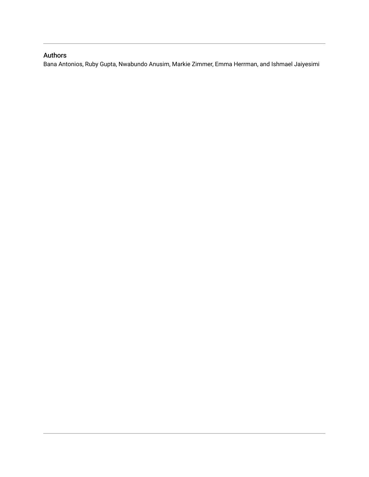#### Authors

Bana Antonios, Ruby Gupta, Nwabundo Anusim, Markie Zimmer, Emma Herrman, and Ishmael Jaiyesimi